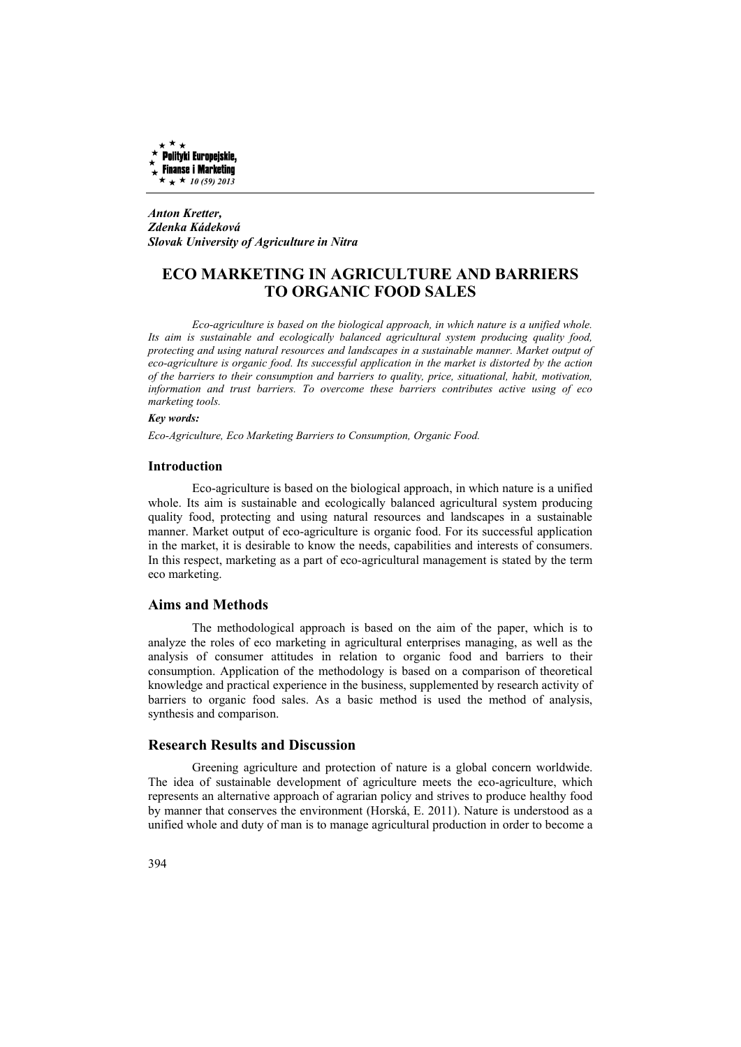

*Anton Kretter, Zdenka Kádeková Slovak University of Agriculture in Nitra* 

# **ECO MARKETING IN AGRICULTURE AND BARRIERS TO ORGANIC FOOD SALES**

*Eco-agriculture is based on the biological approach, in which nature is a unified whole. Its aim is sustainable and ecologically balanced agricultural system producing quality food, protecting and using natural resources and landscapes in a sustainable manner. Market output of eco-agriculture is organic food. Its successful application in the market is distorted by the action of the barriers to their consumption and barriers to quality, price, situational, habit, motivation, information and trust barriers. To overcome these barriers contributes active using of eco marketing tools.* 

## *Key words:*

*Eco-Agriculture, Eco Marketing Barriers to Consumption, Organic Food.* 

#### **Introduction**

Eco-agriculture is based on the biological approach, in which nature is a unified whole. Its aim is sustainable and ecologically balanced agricultural system producing quality food, protecting and using natural resources and landscapes in a sustainable manner. Market output of eco-agriculture is organic food. For its successful application in the market, it is desirable to know the needs, capabilities and interests of consumers. In this respect, marketing as a part of eco-agricultural management is stated by the term eco marketing.

# **Aims and Methods**

The methodological approach is based on the aim of the paper, which is to analyze the roles of eco marketing in agricultural enterprises managing, as well as the analysis of consumer attitudes in relation to organic food and barriers to their consumption. Application of the methodology is based on a comparison of theoretical knowledge and practical experience in the business, supplemented by research activity of barriers to organic food sales. As a basic method is used the method of analysis, synthesis and comparison.

# **Research Results and Discussion**

Greening agriculture and protection of nature is a global concern worldwide. The idea of sustainable development of agriculture meets the eco-agriculture, which represents an alternative approach of agrarian policy and strives to produce healthy food by manner that conserves the environment (Horská, E. 2011). Nature is understood as a unified whole and duty of man is to manage agricultural production in order to become a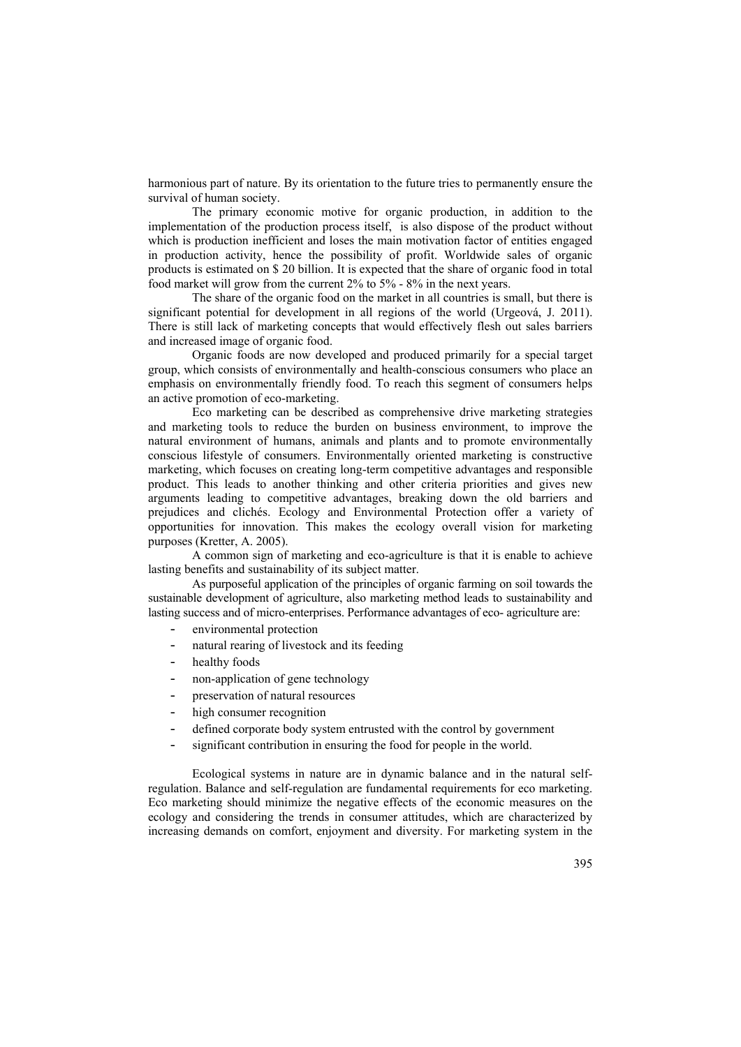harmonious part of nature. By its orientation to the future tries to permanently ensure the survival of human society.

The primary economic motive for organic production, in addition to the implementation of the production process itself, is also dispose of the product without which is production inefficient and loses the main motivation factor of entities engaged in production activity, hence the possibility of profit. Worldwide sales of organic products is estimated on \$ 20 billion. It is expected that the share of organic food in total food market will grow from the current 2% to 5% - 8% in the next years.

The share of the organic food on the market in all countries is small, but there is significant potential for development in all regions of the world (Urgeová, J. 2011). There is still lack of marketing concepts that would effectively flesh out sales barriers and increased image of organic food.

Organic foods are now developed and produced primarily for a special target group, which consists of environmentally and health-conscious consumers who place an emphasis on environmentally friendly food. To reach this segment of consumers helps an active promotion of eco-marketing.

Eco marketing can be described as comprehensive drive marketing strategies and marketing tools to reduce the burden on business environment, to improve the natural environment of humans, animals and plants and to promote environmentally conscious lifestyle of consumers. Environmentally oriented marketing is constructive marketing, which focuses on creating long-term competitive advantages and responsible product. This leads to another thinking and other criteria priorities and gives new arguments leading to competitive advantages, breaking down the old barriers and prejudices and clichés. Ecology and Environmental Protection offer a variety of opportunities for innovation. This makes the ecology overall vision for marketing purposes (Kretter, A. 2005).

A common sign of marketing and eco-agriculture is that it is enable to achieve lasting benefits and sustainability of its subject matter.

As purposeful application of the principles of organic farming on soil towards the sustainable development of agriculture, also marketing method leads to sustainability and lasting success and of micro-enterprises. Performance advantages of eco- agriculture are:

- environmental protection
- natural rearing of livestock and its feeding
- healthy foods
- non-application of gene technology
- preservation of natural resources
- high consumer recognition
- defined corporate body system entrusted with the control by government
- significant contribution in ensuring the food for people in the world.

Ecological systems in nature are in dynamic balance and in the natural selfregulation. Balance and self-regulation are fundamental requirements for eco marketing. Eco marketing should minimize the negative effects of the economic measures on the ecology and considering the trends in consumer attitudes, which are characterized by increasing demands on comfort, enjoyment and diversity. For marketing system in the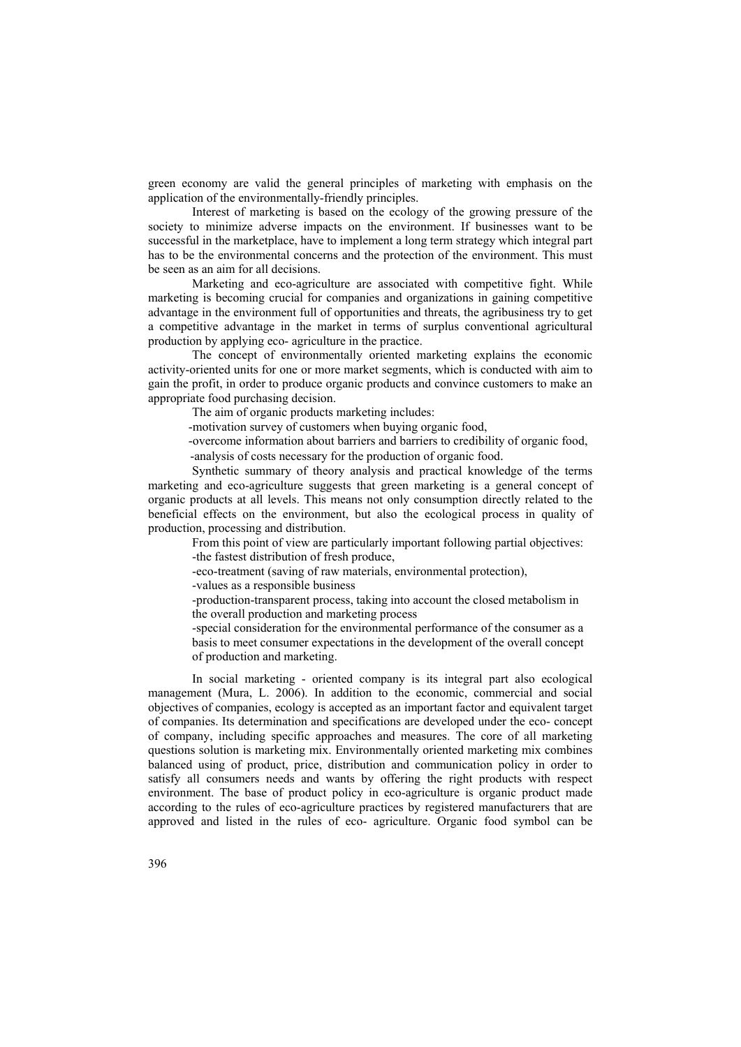green economy are valid the general principles of marketing with emphasis on the application of the environmentally-friendly principles.

Interest of marketing is based on the ecology of the growing pressure of the society to minimize adverse impacts on the environment. If businesses want to be successful in the marketplace, have to implement a long term strategy which integral part has to be the environmental concerns and the protection of the environment. This must be seen as an aim for all decisions.

Marketing and eco-agriculture are associated with competitive fight. While marketing is becoming crucial for companies and organizations in gaining competitive advantage in the environment full of opportunities and threats, the agribusiness try to get a competitive advantage in the market in terms of surplus conventional agricultural production by applying eco- agriculture in the practice.

The concept of environmentally oriented marketing explains the economic activity-oriented units for one or more market segments, which is conducted with aim to gain the profit, in order to produce organic products and convince customers to make an appropriate food purchasing decision.

The aim of organic products marketing includes:

-motivation survey of customers when buying organic food,

-overcome information about barriers and barriers to credibility of organic food,

-analysis of costs necessary for the production of organic food.

Synthetic summary of theory analysis and practical knowledge of the terms marketing and eco-agriculture suggests that green marketing is a general concept of organic products at all levels. This means not only consumption directly related to the beneficial effects on the environment, but also the ecological process in quality of production, processing and distribution.

From this point of view are particularly important following partial objectives: -the fastest distribution of fresh produce,

-eco-treatment (saving of raw materials, environmental protection),

-values as a responsible business

-production-transparent process, taking into account the closed metabolism in the overall production and marketing process

-special consideration for the environmental performance of the consumer as a basis to meet consumer expectations in the development of the overall concept of production and marketing.

In social marketing - oriented company is its integral part also ecological management (Mura, L. 2006). In addition to the economic, commercial and social objectives of companies, ecology is accepted as an important factor and equivalent target of companies. Its determination and specifications are developed under the eco- concept of company, including specific approaches and measures. The core of all marketing questions solution is marketing mix. Environmentally oriented marketing mix combines balanced using of product, price, distribution and communication policy in order to satisfy all consumers needs and wants by offering the right products with respect environment. The base of product policy in eco-agriculture is organic product made according to the rules of eco-agriculture practices by registered manufacturers that are approved and listed in the rules of eco- agriculture. Organic food symbol can be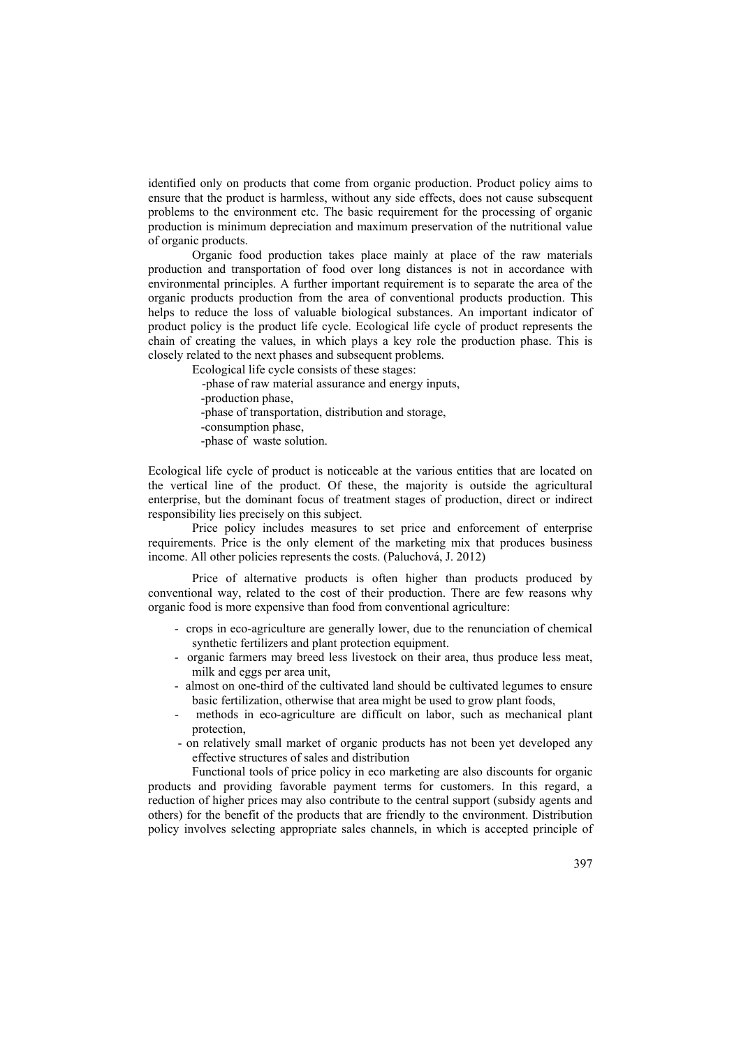identified only on products that come from organic production. Product policy aims to ensure that the product is harmless, without any side effects, does not cause subsequent problems to the environment etc. The basic requirement for the processing of organic production is minimum depreciation and maximum preservation of the nutritional value of organic products.

Organic food production takes place mainly at place of the raw materials production and transportation of food over long distances is not in accordance with environmental principles. A further important requirement is to separate the area of the organic products production from the area of conventional products production. This helps to reduce the loss of valuable biological substances. An important indicator of product policy is the product life cycle. Ecological life cycle of product represents the chain of creating the values, in which plays a key role the production phase. This is closely related to the next phases and subsequent problems.

Ecological life cycle consists of these stages: -phase of raw material assurance and energy inputs, -production phase, -phase of transportation, distribution and storage, -consumption phase, -phase of waste solution.

Ecological life cycle of product is noticeable at the various entities that are located on the vertical line of the product. Of these, the majority is outside the agricultural enterprise, but the dominant focus of treatment stages of production, direct or indirect responsibility lies precisely on this subject.

Price policy includes measures to set price and enforcement of enterprise requirements. Price is the only element of the marketing mix that produces business income. All other policies represents the costs. (Paluchová, J. 2012)

Price of alternative products is often higher than products produced by conventional way, related to the cost of their production. There are few reasons why organic food is more expensive than food from conventional agriculture:

- crops in eco-agriculture are generally lower, due to the renunciation of chemical synthetic fertilizers and plant protection equipment.
- organic farmers may breed less livestock on their area, thus produce less meat, milk and eggs per area unit,
- almost on one-third of the cultivated land should be cultivated legumes to ensure basic fertilization, otherwise that area might be used to grow plant foods,
- methods in eco-agriculture are difficult on labor, such as mechanical plant protection,
- on relatively small market of organic products has not been yet developed any effective structures of sales and distribution

Functional tools of price policy in eco marketing are also discounts for organic products and providing favorable payment terms for customers. In this regard, a reduction of higher prices may also contribute to the central support (subsidy agents and others) for the benefit of the products that are friendly to the environment. Distribution policy involves selecting appropriate sales channels, in which is accepted principle of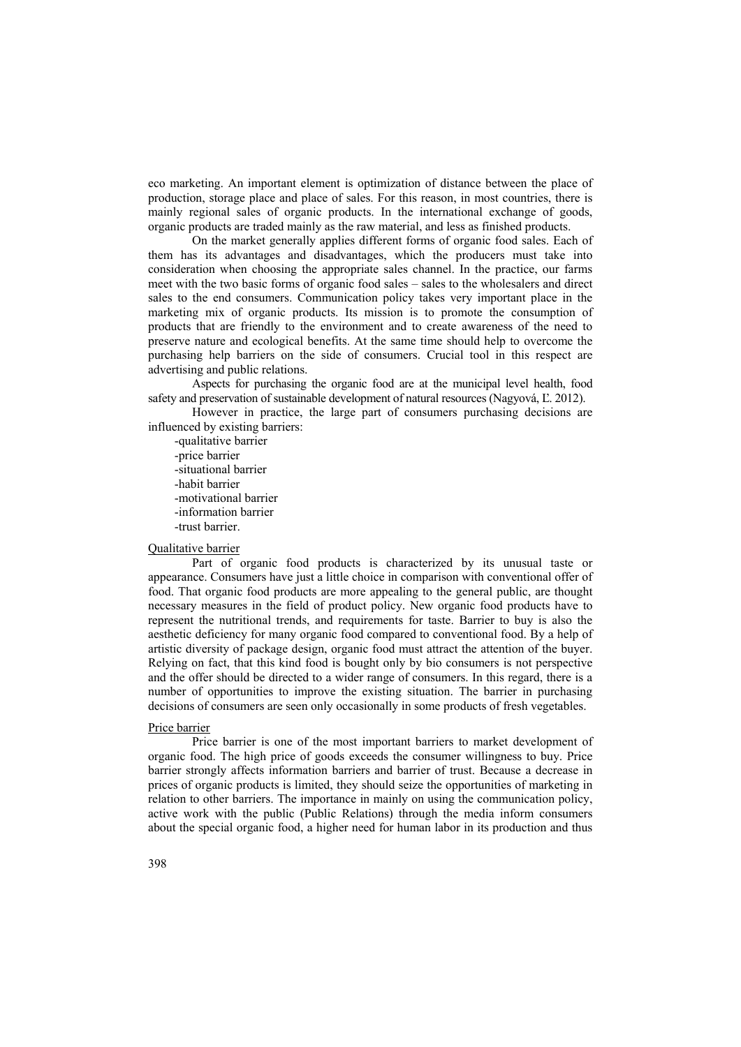eco marketing. An important element is optimization of distance between the place of production, storage place and place of sales. For this reason, in most countries, there is mainly regional sales of organic products. In the international exchange of goods, organic products are traded mainly as the raw material, and less as finished products.

On the market generally applies different forms of organic food sales. Each of them has its advantages and disadvantages, which the producers must take into consideration when choosing the appropriate sales channel. In the practice, our farms meet with the two basic forms of organic food sales – sales to the wholesalers and direct sales to the end consumers. Communication policy takes very important place in the marketing mix of organic products. Its mission is to promote the consumption of products that are friendly to the environment and to create awareness of the need to preserve nature and ecological benefits. At the same time should help to overcome the purchasing help barriers on the side of consumers. Crucial tool in this respect are advertising and public relations.

Aspects for purchasing the organic food are at the municipal level health, food safety and preservation of sustainable development of natural resources (Nagyová, Ľ. 2012).

However in practice, the large part of consumers purchasing decisions are influenced by existing barriers:

-qualitative barrier -price barrier -situational barrier -habit barrier -motivational barrier -information barrier -trust barrier.

#### Qualitative barrier

Part of organic food products is characterized by its unusual taste or appearance. Consumers have just a little choice in comparison with conventional offer of food. That organic food products are more appealing to the general public, are thought necessary measures in the field of product policy. New organic food products have to represent the nutritional trends, and requirements for taste. Barrier to buy is also the aesthetic deficiency for many organic food compared to conventional food. By a help of artistic diversity of package design, organic food must attract the attention of the buyer. Relying on fact, that this kind food is bought only by bio consumers is not perspective and the offer should be directed to a wider range of consumers. In this regard, there is a number of opportunities to improve the existing situation. The barrier in purchasing decisions of consumers are seen only occasionally in some products of fresh vegetables.

#### Price barrier

Price barrier is one of the most important barriers to market development of organic food. The high price of goods exceeds the consumer willingness to buy. Price barrier strongly affects information barriers and barrier of trust. Because a decrease in prices of organic products is limited, they should seize the opportunities of marketing in relation to other barriers. The importance in mainly on using the communication policy, active work with the public (Public Relations) through the media inform consumers about the special organic food, a higher need for human labor in its production and thus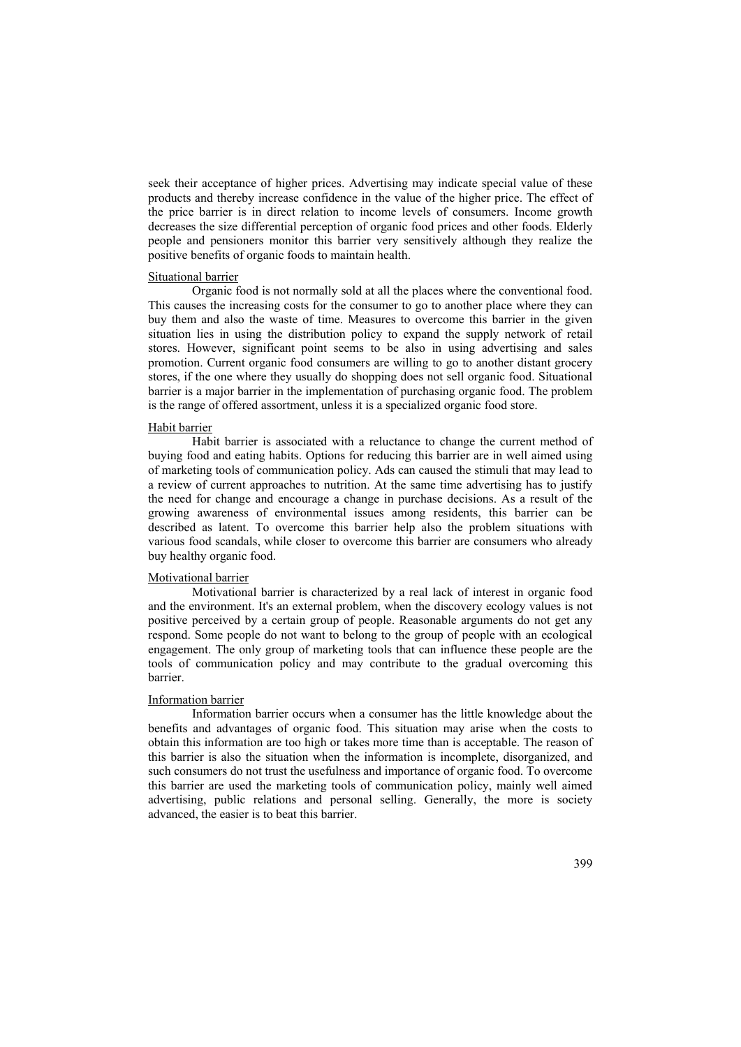seek their acceptance of higher prices. Advertising may indicate special value of these products and thereby increase confidence in the value of the higher price. The effect of the price barrier is in direct relation to income levels of consumers. Income growth decreases the size differential perception of organic food prices and other foods. Elderly people and pensioners monitor this barrier very sensitively although they realize the positive benefits of organic foods to maintain health.

#### Situational barrier

Organic food is not normally sold at all the places where the conventional food. This causes the increasing costs for the consumer to go to another place where they can buy them and also the waste of time. Measures to overcome this barrier in the given situation lies in using the distribution policy to expand the supply network of retail stores. However, significant point seems to be also in using advertising and sales promotion. Current organic food consumers are willing to go to another distant grocery stores, if the one where they usually do shopping does not sell organic food. Situational barrier is a major barrier in the implementation of purchasing organic food. The problem is the range of offered assortment, unless it is a specialized organic food store.

#### Habit barrier

Habit barrier is associated with a reluctance to change the current method of buying food and eating habits. Options for reducing this barrier are in well aimed using of marketing tools of communication policy. Ads can caused the stimuli that may lead to a review of current approaches to nutrition. At the same time advertising has to justify the need for change and encourage a change in purchase decisions. As a result of the growing awareness of environmental issues among residents, this barrier can be described as latent. To overcome this barrier help also the problem situations with various food scandals, while closer to overcome this barrier are consumers who already buy healthy organic food.

# Motivational barrier

Motivational barrier is characterized by a real lack of interest in organic food and the environment. It's an external problem, when the discovery ecology values is not positive perceived by a certain group of people. Reasonable arguments do not get any respond. Some people do not want to belong to the group of people with an ecological engagement. The only group of marketing tools that can influence these people are the tools of communication policy and may contribute to the gradual overcoming this barrier.

#### Information barrier

Information barrier occurs when a consumer has the little knowledge about the benefits and advantages of organic food. This situation may arise when the costs to obtain this information are too high or takes more time than is acceptable. The reason of this barrier is also the situation when the information is incomplete, disorganized, and such consumers do not trust the usefulness and importance of organic food. To overcome this barrier are used the marketing tools of communication policy, mainly well aimed advertising, public relations and personal selling. Generally, the more is society advanced, the easier is to beat this barrier.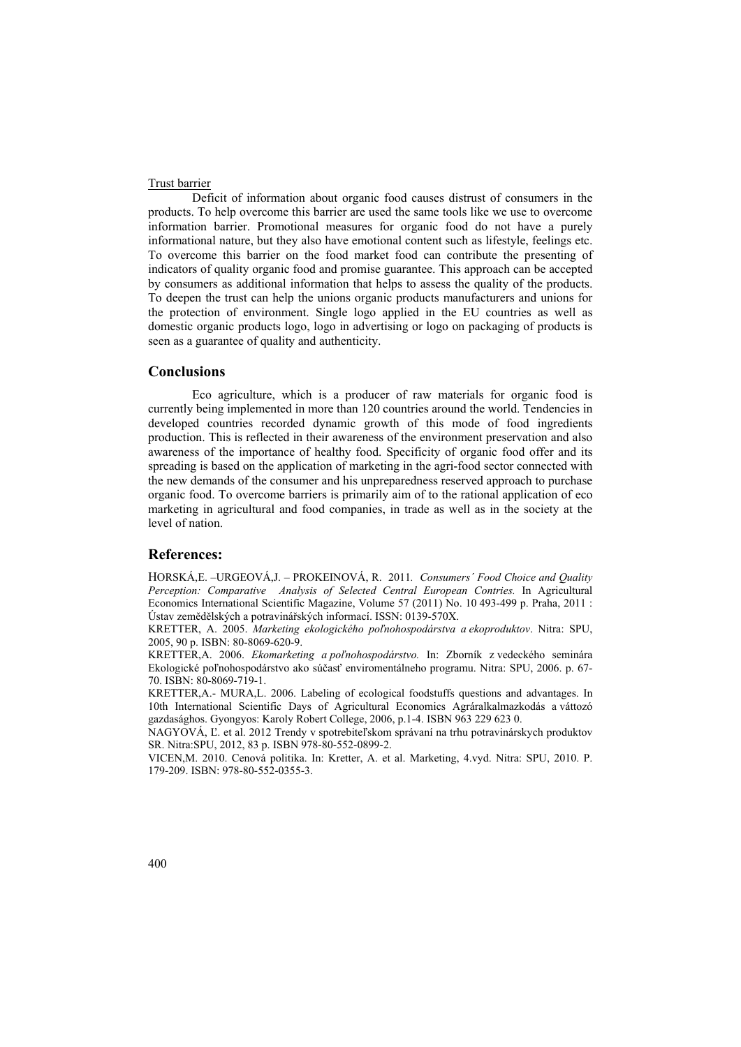## Trust barrier

Deficit of information about organic food causes distrust of consumers in the products. To help overcome this barrier are used the same tools like we use to overcome information barrier. Promotional measures for organic food do not have a purely informational nature, but they also have emotional content such as lifestyle, feelings etc. To overcome this barrier on the food market food can contribute the presenting of indicators of quality organic food and promise guarantee. This approach can be accepted by consumers as additional information that helps to assess the quality of the products. To deepen the trust can help the unions organic products manufacturers and unions for the protection of environment. Single logo applied in the EU countries as well as domestic organic products logo, logo in advertising or logo on packaging of products is seen as a guarantee of quality and authenticity.

### **Conclusions**

Eco agriculture, which is a producer of raw materials for organic food is currently being implemented in more than 120 countries around the world. Tendencies in developed countries recorded dynamic growth of this mode of food ingredients production. This is reflected in their awareness of the environment preservation and also awareness of the importance of healthy food. Specificity of organic food offer and its spreading is based on the application of marketing in the agri-food sector connected with the new demands of the consumer and his unpreparedness reserved approach to purchase organic food. To overcome barriers is primarily aim of to the rational application of eco marketing in agricultural and food companies, in trade as well as in the society at the level of nation.

## **References:**

HORSKÁ,E. –URGEOVÁ,J. – PROKEINOVÁ, R.2011*. Consumers´ Food Choice and Quality Perception: Comparative Analysis of Selected Central European Contries.* In Agricultural Economics International Scientific Magazine, Volume 57 (2011) No. 10 493-499 p. Praha, 2011 : Ústav zemědělských a potravinářských informací. ISSN: 0139-570X.

KRETTER, A. 2005. *Marketing ekologického poľnohospodárstva a ekoproduktov*. Nitra: SPU, 2005, 90 p. ISBN: 80-8069-620-9.

KRETTER,A. 2006. *Ekomarketing a poľnohospodárstvo.* In: Zborník z vedeckého seminára Ekologické poľnohospodárstvo ako súčasť enviromentálneho programu. Nitra: SPU, 2006. p. 67- 70. ISBN: 80-8069-719-1.

KRETTER,A.- MURA,L. 2006. Labeling of ecological foodstuffs questions and advantages. In 10th International Scientific Days of Agricultural Economics Agráralkalmazkodás a váttozó gazdasághos. Gyongyos: Karoly Robert College, 2006, p.1-4. ISBN 963 229 623 0.

NAGYOVÁ, Ľ. et al. 2012 Trendy v spotrebiteľskom správaní na trhu potravinárskych produktov SR. Nitra:SPU, 2012, 83 p. ISBN 978-80-552-0899-2.

VICEN,M. 2010. Cenová politika. In: Kretter, A. et al. Marketing, 4.vyd. Nitra: SPU, 2010. P. 179-209. ISBN: 978-80-552-0355-3.